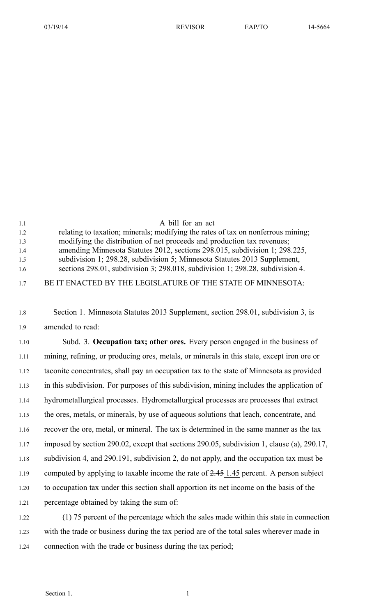| 1.1 | A bill for an act                                                                |
|-----|----------------------------------------------------------------------------------|
| 1.2 | relating to taxation; minerals; modifying the rates of tax on nonferrous mining; |
| 1.3 | modifying the distribution of net proceeds and production tax revenues;          |
| 1.4 | amending Minnesota Statutes 2012, sections 298.015, subdivision 1; 298.225,      |
| 1.5 | subdivision 1; 298.28, subdivision 5; Minnesota Statutes 2013 Supplement,        |
| 1.6 | sections 298.01, subdivision 3; 298.018, subdivision 1; 298.28, subdivision 4.   |
| 17  | BE IT ENACTED BY THE LEGISLATURE OF THE STATE OF MINNESOTA:                      |

1.8 Section 1. Minnesota Statutes 2013 Supplement, section 298.01, subdivision 3, is 1.9 amended to read:

1.10 Subd. 3. **Occupation tax; other ores.** Every person engaged in the business of 1.11 mining, refining, or producing ores, metals, or minerals in this state, excep<sup>t</sup> iron ore or 1.12 taconite concentrates, shall pay an occupation tax to the state of Minnesota as provided 1.13 in this subdivision. For purposes of this subdivision, mining includes the application of 1.14 hydrometallurgical processes. Hydrometallurgical processes are processes that extract 1.15 the ores, metals, or minerals, by use of aqueous solutions that leach, concentrate, and 1.16 recover the ore, metal, or mineral. The tax is determined in the same manner as the tax 1.17 imposed by section 290.02, excep<sup>t</sup> that sections 290.05, subdivision 1, clause (a), 290.17, 1.18 subdivision 4, and 290.191, subdivision 2, do not apply, and the occupation tax must be 1.19 computed by applying to taxable income the rate of 2.45 1.45 percent. A person subject 1.20 to occupation tax under this section shall apportion its net income on the basis of the 1.21 percentage obtained by taking the sum of: 1.22 (1) 75 percen<sup>t</sup> of the percentage which the sales made within this state in connection

1.23 with the trade or business during the tax period are of the total sales wherever made in 1.24 connection with the trade or business during the tax period;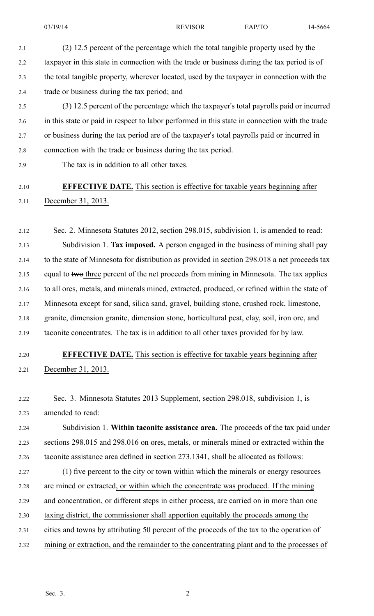2.1 (2) 12.5 percen<sup>t</sup> of the percentage which the total tangible property used by the 2.2 taxpayer in this state in connection with the trade or business during the tax period is of 2.3 the total tangible property, wherever located, used by the taxpayer in connection with the 2.4 trade or business during the tax period; and

2.5 (3) 12.5 percen<sup>t</sup> of the percentage which the taxpayer's total payrolls paid or incurred 2.6 in this state or paid in respec<sup>t</sup> to labor performed in this state in connection with the trade 2.7 or business during the tax period are of the taxpayer's total payrolls paid or incurred in 2.8 connection with the trade or business during the tax period.

2.9 The tax is in addition to all other taxes.

## 2.10 **EFFECTIVE DATE.** This section is effective for taxable years beginning after 2.11 December 31, 2013.

2.12 Sec. 2. Minnesota Statutes 2012, section 298.015, subdivision 1, is amended to read: 2.13 Subdivision 1. **Tax imposed.** A person engaged in the business of mining shall pay 2.14 to the state of Minnesota for distribution as provided in section 298.018 <sup>a</sup> net proceeds tax 2.15 equal to two three percent of the net proceeds from mining in Minnesota. The tax applies 2.16 to all ores, metals, and minerals mined, extracted, produced, or refined within the state of 2.17 Minnesota excep<sup>t</sup> for sand, silica sand, gravel, building stone, crushed rock, limestone, 2.18 granite, dimension granite, dimension stone, horticultural peat, clay, soil, iron ore, and 2.19 taconite concentrates. The tax is in addition to all other taxes provided for by law.

- 2.20 **EFFECTIVE DATE.** This section is effective for taxable years beginning after 2.21 December 31, 2013.
- 2.22 Sec. 3. Minnesota Statutes 2013 Supplement, section 298.018, subdivision 1, is 2.23 amended to read:

2.24 Subdivision 1. **Within taconite assistance area.** The proceeds of the tax paid under 2.25 sections 298.015 and 298.016 on ores, metals, or minerals mined or extracted within the 2.26 taconite assistance area defined in section 273.1341, shall be allocated as follows:

2.27 (1) five percen<sup>t</sup> to the city or town within which the minerals or energy resources 2.28 are mined or extracted, or within which the concentrate was produced. If the mining 2.29 and concentration, or different steps in either process, are carried on in more than one 2.30 taxing district, the commissioner shall apportion equitably the proceeds among the 2.31 cities and towns by attributing 50 percen<sup>t</sup> of the proceeds of the tax to the operation of

2.32 mining or extraction, and the remainder to the concentrating plant and to the processes of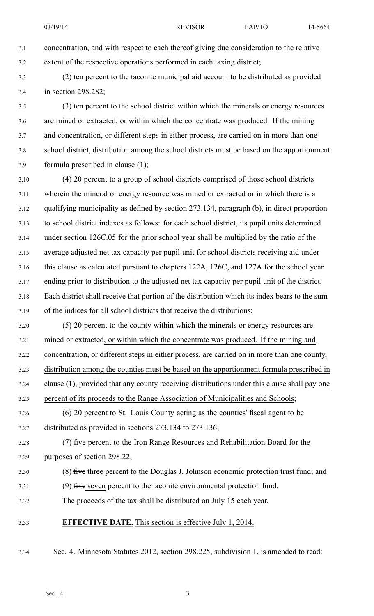- 3.1 concentration, and with respec<sup>t</sup> to each thereof giving due consideration to the relative 3.2 extent of the respective operations performed in each taxing district;
- 3.3 (2) ten percen<sup>t</sup> to the taconite municipal aid account to be distributed as provided 3.4 in section 298.282;

3.5 (3) ten percen<sup>t</sup> to the school district within which the minerals or energy resources 3.6 are mined or extracted, or within which the concentrate was produced. If the mining 3.7 and concentration, or different steps in either process, are carried on in more than one 3.8 school district, distribution among the school districts must be based on the apportionment 3.9 formula prescribed in clause (1);

3.10 (4) 20 percen<sup>t</sup> to <sup>a</sup> group of school districts comprised of those school districts 3.11 wherein the mineral or energy resource was mined or extracted or in which there is <sup>a</sup> 3.12 qualifying municipality as defined by section 273.134, paragraph (b), in direct proportion 3.13 to school district indexes as follows: for each school district, its pupil units determined 3.14 under section 126C.05 for the prior school year shall be multiplied by the ratio of the 3.15 average adjusted net tax capacity per pupil unit for school districts receiving aid under 3.16 this clause as calculated pursuan<sup>t</sup> to chapters 122A, 126C, and 127A for the school year 3.17 ending prior to distribution to the adjusted net tax capacity per pupil unit of the district. 3.18 Each district shall receive that portion of the distribution which its index bears to the sum 3.19 of the indices for all school districts that receive the distributions;

3.20 (5) 20 percen<sup>t</sup> to the county within which the minerals or energy resources are 3.21 mined or extracted, or within which the concentrate was produced. If the mining and 3.22 concentration, or different steps in either process, are carried on in more than one county, 3.23 distribution among the counties must be based on the apportionment formula prescribed in 3.24 clause (1), provided that any county receiving distributions under this clause shall pay one 3.25 percen<sup>t</sup> of its proceeds to the Range Association of Municipalities and Schools; 3.26 (6) 20 percen<sup>t</sup> to St. Louis County acting as the counties' fiscal agen<sup>t</sup> to be

- 3.27 distributed as provided in sections 273.134 to 273.136;
- 3.28 (7) five percen<sup>t</sup> to the Iron Range Resources and Rehabilitation Board for the 3.29 purposes of section 298.22;
- 3.30 (8) five three percen<sup>t</sup> to the Douglas J. Johnson economic protection trust fund; and
- 3.31 (9) five seven percen<sup>t</sup> to the taconite environmental protection fund.
- 3.32 The proceeds of the tax shall be distributed on July 15 each year.
- 3.33 **EFFECTIVE DATE.** This section is effective July 1, 2014.
- 3.34 Sec. 4. Minnesota Statutes 2012, section 298.225, subdivision 1, is amended to read: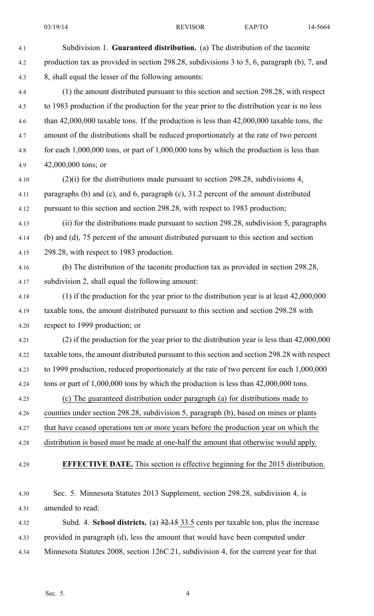| 4.1  | Subdivision 1. Guaranteed distribution. (a) The distribution of the taconite                                                                                                        |
|------|-------------------------------------------------------------------------------------------------------------------------------------------------------------------------------------|
| 4.2  | production tax as provided in section 298.28, subdivisions 3 to 5, 6, paragraph (b), 7, and                                                                                         |
| 4.3  | 8, shall equal the lesser of the following amounts:                                                                                                                                 |
|      |                                                                                                                                                                                     |
| 4.4  | (1) the amount distributed pursuant to this section and section 298.28, with respect<br>to 1983 production if the production for the year prior to the distribution year is no less |
| 4.5  | than $42,000,000$ taxable tons. If the production is less than $42,000,000$ taxable tons, the                                                                                       |
| 4.6  |                                                                                                                                                                                     |
| 4.7  | amount of the distributions shall be reduced proportionately at the rate of two percent                                                                                             |
| 4.8  | for each $1,000,000$ tons, or part of $1,000,000$ tons by which the production is less than                                                                                         |
| 4.9  | $42,000,000$ tons; or                                                                                                                                                               |
| 4.10 | $(2)(i)$ for the distributions made pursuant to section 298.28, subdivisions 4,                                                                                                     |
| 4.11 | paragraphs (b) and (c), and 6, paragraph (c), 31.2 percent of the amount distributed                                                                                                |
| 4.12 | pursuant to this section and section 298.28, with respect to 1983 production;                                                                                                       |
| 4.13 | (ii) for the distributions made pursuant to section 298.28, subdivision 5, paragraphs                                                                                               |
| 4.14 | (b) and (d), 75 percent of the amount distributed pursuant to this section and section                                                                                              |
| 4.15 | 298.28, with respect to 1983 production.                                                                                                                                            |
| 4.16 | (b) The distribution of the taconite production tax as provided in section 298.28,                                                                                                  |
| 4.17 | subdivision 2, shall equal the following amount:                                                                                                                                    |
| 4.18 | $(1)$ if the production for the year prior to the distribution year is at least $42,000,000$                                                                                        |
| 4.19 | taxable tons, the amount distributed pursuant to this section and section 298.28 with                                                                                               |
| 4.20 | respect to 1999 production; or                                                                                                                                                      |
| 4.21 | $(2)$ if the production for the year prior to the distribution year is less than $42,000,000$                                                                                       |
| 4.22 | taxable tons, the amount distributed pursuant to this section and section 298.28 with respect                                                                                       |
| 4.23 | to 1999 production, reduced proportionately at the rate of two percent for each 1,000,000                                                                                           |
| 4.24 | tons or part of $1,000,000$ tons by which the production is less than $42,000,000$ tons.                                                                                            |
| 4.25 | (c) The guaranteed distribution under paragraph (a) for distributions made to                                                                                                       |
| 4.26 | counties under section 298.28, subdivision 5, paragraph (b), based on mines or plants                                                                                               |
| 4.27 | that have ceased operations ten or more years before the production year on which the                                                                                               |
| 4.28 | distribution is based must be made at one-half the amount that otherwise would apply.                                                                                               |
| 4.29 | <b>EFFECTIVE DATE.</b> This section is effective beginning for the 2015 distribution.                                                                                               |
| 4.30 | Sec. 5. Minnesota Statutes 2013 Supplement, section 298.28, subdivision 4, is                                                                                                       |
| 4.31 | amended to read:                                                                                                                                                                    |
| 4.32 | Subd. 4. School districts. (a) $32.15$ 33.5 cents per taxable ton, plus the increase                                                                                                |

4.33 provided in paragraph (d), less the amount that would have been computed under 4.34 Minnesota Statutes 2008, section 126C.21, subdivision 4, for the current year for that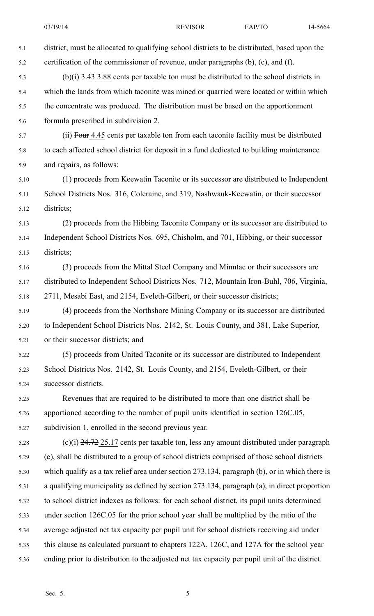| 5.1  | district, must be allocated to qualifying school districts to be distributed, based upon the  |
|------|-----------------------------------------------------------------------------------------------|
| 5.2  | certification of the commissioner of revenue, under paragraphs (b), (c), and (f).             |
| 5.3  | $(b)(i)$ 3.43 3.88 cents per taxable ton must be distributed to the school districts in       |
| 5.4  | which the lands from which taconite was mined or quarried were located or within which        |
| 5.5  | the concentrate was produced. The distribution must be based on the apportionment             |
| 5.6  | formula prescribed in subdivision 2.                                                          |
| 5.7  | (ii) Four 4.45 cents per taxable ton from each taconite facility must be distributed          |
| 5.8  | to each affected school district for deposit in a fund dedicated to building maintenance      |
| 5.9  | and repairs, as follows:                                                                      |
| 5.10 | (1) proceeds from Keewatin Taconite or its successor are distributed to Independent           |
| 5.11 | School Districts Nos. 316, Coleraine, and 319, Nashwauk-Keewatin, or their successor          |
| 5.12 | districts;                                                                                    |
| 5.13 | (2) proceeds from the Hibbing Taconite Company or its successor are distributed to            |
| 5.14 | Independent School Districts Nos. 695, Chisholm, and 701, Hibbing, or their successor         |
| 5.15 | districts;                                                                                    |
| 5.16 | (3) proceeds from the Mittal Steel Company and Minntac or their successors are                |
| 5.17 | distributed to Independent School Districts Nos. 712, Mountain Iron-Buhl, 706, Virginia,      |
| 5.18 | 2711, Mesabi East, and 2154, Eveleth-Gilbert, or their successor districts;                   |
| 5.19 | (4) proceeds from the Northshore Mining Company or its successor are distributed              |
| 5.20 | to Independent School Districts Nos. 2142, St. Louis County, and 381, Lake Superior,          |
| 5.21 | or their successor districts; and                                                             |
| 5.22 | (5) proceeds from United Taconite or its successor are distributed to Independent             |
| 5.23 | School Districts Nos. 2142, St. Louis County, and 2154, Eveleth-Gilbert, or their             |
| 5.24 | successor districts.                                                                          |
| 5.25 | Revenues that are required to be distributed to more than one district shall be               |
| 5.26 | apportioned according to the number of pupil units identified in section 126C.05,             |
| 5.27 | subdivision 1, enrolled in the second previous year.                                          |
| 5.28 | $(c)(i)$ 24.72 25.17 cents per taxable ton, less any amount distributed under paragraph       |
| 5.29 | (e), shall be distributed to a group of school districts comprised of those school districts  |
| 5.30 | which qualify as a tax relief area under section 273.134, paragraph (b), or in which there is |
| 5.31 | a qualifying municipality as defined by section 273.134, paragraph (a), in direct proportion  |
| 5.32 | to school district indexes as follows: for each school district, its pupil units determined   |
| 5.33 | under section 126C.05 for the prior school year shall be multiplied by the ratio of the       |
| 5.34 | average adjusted net tax capacity per pupil unit for school districts receiving aid under     |
| 5.35 | this clause as calculated pursuant to chapters 122A, 126C, and 127A for the school year       |
| 5.36 | ending prior to distribution to the adjusted net tax capacity per pupil unit of the district. |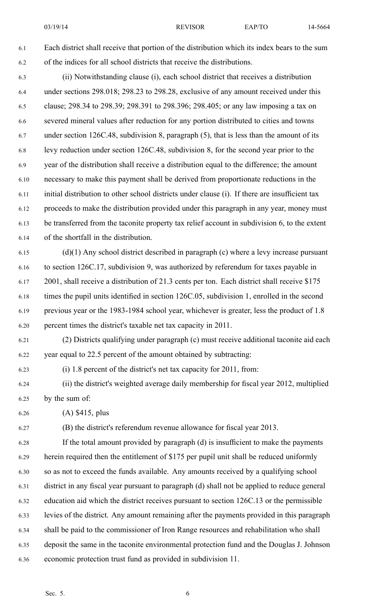03/19/14 REVISOR EAP/TO 14-5664

6.1 Each district shall receive that portion of the distribution which its index bears to the sum 6.2 of the indices for all school districts that receive the distributions.

6.3 (ii) Notwithstanding clause (i), each school district that receives <sup>a</sup> distribution 6.4 under sections 298.018; 298.23 to 298.28, exclusive of any amount received under this 6.5 clause; 298.34 to 298.39; 298.391 to 298.396; 298.405; or any law imposing <sup>a</sup> tax on 6.6 severed mineral values after reduction for any portion distributed to cities and towns 6.7 under section 126C.48, subdivision 8, paragraph (5), that is less than the amount of its 6.8 levy reduction under section 126C.48, subdivision 8, for the second year prior to the 6.9 year of the distribution shall receive <sup>a</sup> distribution equal to the difference; the amount 6.10 necessary to make this paymen<sup>t</sup> shall be derived from proportionate reductions in the 6.11 initial distribution to other school districts under clause (i). If there are insufficient tax 6.12 proceeds to make the distribution provided under this paragraph in any year, money must 6.13 be transferred from the taconite property tax relief account in subdivision 6, to the extent 6.14 of the shortfall in the distribution.

6.15 (d)(1) Any school district described in paragraph (c) where <sup>a</sup> levy increase pursuan<sup>t</sup> 6.16 to section 126C.17, subdivision 9, was authorized by referendum for taxes payable in 6.17 2001, shall receive <sup>a</sup> distribution of 21.3 cents per ton. Each district shall receive \$175 6.18 times the pupil units identified in section 126C.05, subdivision 1, enrolled in the second 6.19 previous year or the 1983-1984 school year, whichever is greater, less the product of 1.8 6.20 percen<sup>t</sup> times the district's taxable net tax capacity in 2011.

6.21 (2) Districts qualifying under paragraph (c) must receive additional taconite aid each 6.22 year equal to 22.5 percen<sup>t</sup> of the amount obtained by subtracting:

6.23 (i) 1.8 percen<sup>t</sup> of the district's net tax capacity for 2011, from:

6.24 (ii) the district's weighted average daily membership for fiscal year 2012, multiplied 6.25 by the sum of:

6.26 (A) \$415, plus

6.27 (B) the district's referendum revenue allowance for fiscal year 2013.

6.28 If the total amount provided by paragraph (d) is insufficient to make the payments 6.29 herein required then the entitlement of \$175 per pupil unit shall be reduced uniformly 6.30 so as not to exceed the funds available. Any amounts received by <sup>a</sup> qualifying school 6.31 district in any fiscal year pursuan<sup>t</sup> to paragraph (d) shall not be applied to reduce general 6.32 education aid which the district receives pursuan<sup>t</sup> to section 126C.13 or the permissible 6.33 levies of the district. Any amount remaining after the payments provided in this paragraph 6.34 shall be paid to the commissioner of Iron Range resources and rehabilitation who shall 6.35 deposit the same in the taconite environmental protection fund and the Douglas J. Johnson 6.36 economic protection trust fund as provided in subdivision 11.